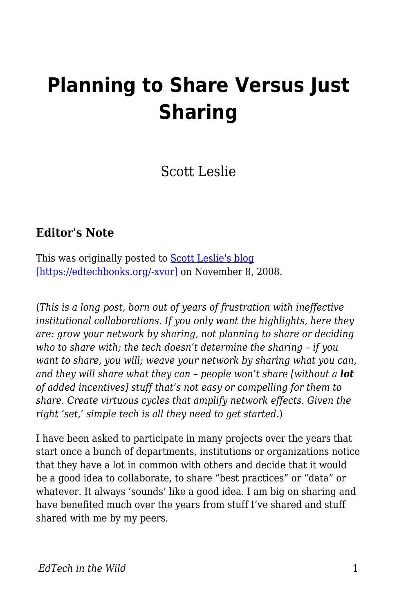# **Planning to Share Versus Just Sharing**

Scott Leslie

#### **Editor's Note**

This was originally posted to **Scott Leslie's blog** [\[https://edtechbooks.org/-xvor\]](https://scottleslie.ca/edtechpost/wordpress/2008/11/08/just-share-already/) on November 8, 2008.

(*This is a long post, born out of years of frustration with ineffective institutional collaborations. If you only want the highlights, here they are: grow your network by sharing, not planning to share or deciding who to share with; the tech doesn't determine the sharing – if you want to share, you will; weave your network by sharing what you can, and they will share what they can – people won't share [without a lot of added incentives] stuff that's not easy or compelling for them to share. Create virtuous cycles that amplify network effects. Given the right 'set,' simple tech is all they need to get started.*)

I have been asked to participate in many projects over the years that start once a bunch of departments, institutions or organizations notice that they have a lot in common with others and decide that it would be a good idea to collaborate, to share "best practices" or "data" or whatever. It always 'sounds' like a good idea. I am big on sharing and have benefited much over the years from stuff I've shared and stuff shared with me by my peers.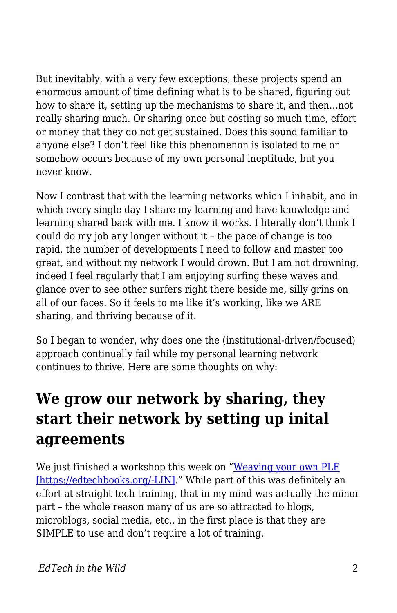But inevitably, with a very few exceptions, these projects spend an enormous amount of time defining what is to be shared, figuring out how to share it, setting up the mechanisms to share it, and then…not really sharing much. Or sharing once but costing so much time, effort or money that they do not get sustained. Does this sound familiar to anyone else? I don't feel like this phenomenon is isolated to me or somehow occurs because of my own personal ineptitude, but you never know.

Now I contrast that with the learning networks which I inhabit, and in which every single day I share my learning and have knowledge and learning shared back with me. I know it works. I literally don't think I could do my job any longer without it – the pace of change is too rapid, the number of developments I need to follow and master too great, and without my network I would drown. But I am not drowning, indeed I feel regularly that I am enjoying surfing these waves and glance over to see other surfers right there beside me, silly grins on all of our faces. So it feels to me like it's working, like we ARE sharing, and thriving because of it.

So I began to wonder, why does one the (institutional-driven/focused) approach continually fail while my personal learning network continues to thrive. Here are some thoughts on why:

# **We grow our network by sharing, they start their network by setting up inital agreements**

We just finished a workshop this week on "[Weaving your own PLE](http://edtechpost.wikispaces.com/PLE+workshop) [\[https://edtechbooks.org/-LIN\].](http://edtechpost.wikispaces.com/PLE+workshop)" While part of this was definitely an effort at straight tech training, that in my mind was actually the minor part – the whole reason many of us are so attracted to blogs, microblogs, social media, etc., in the first place is that they are SIMPLE to use and don't require a lot of training.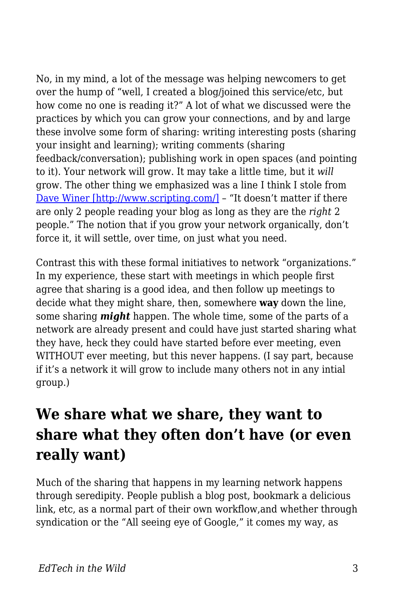No, in my mind, a lot of the message was helping newcomers to get over the hump of "well, I created a blog/joined this service/etc, but how come no one is reading it?" A lot of what we discussed were the practices by which you can grow your connections, and by and large these involve some form of sharing: writing interesting posts (sharing your insight and learning); writing comments (sharing feedback/conversation); publishing work in open spaces (and pointing to it). Your network will grow. It may take a little time, but it *will* grow. The other thing we emphasized was a line I think I stole from [Dave Winer \[http://www.scripting.com/\]](http://www.scripting.com/) – "It doesn't matter if there are only 2 people reading your blog as long as they are the *right* 2 people." The notion that if you grow your network organically, don't force it, it will settle, over time, on just what you need.

Contrast this with these formal initiatives to network "organizations." In my experience, these start with meetings in which people first agree that sharing is a good idea, and then follow up meetings to decide what they might share, then, somewhere **way** down the line, some sharing *might* happen. The whole time, some of the parts of a network are already present and could have just started sharing what they have, heck they could have started before ever meeting, even WITHOUT ever meeting, but this never happens. (I say part, because if it's a network it will grow to include many others not in any intial group.)

### **We share what we share, they want to share what they often don't have (or even really want)**

Much of the sharing that happens in my learning network happens through seredipity. People publish a blog post, bookmark a delicious link, etc, as a normal part of their own workflow,and whether through syndication or the "All seeing eye of Google," it comes my way, as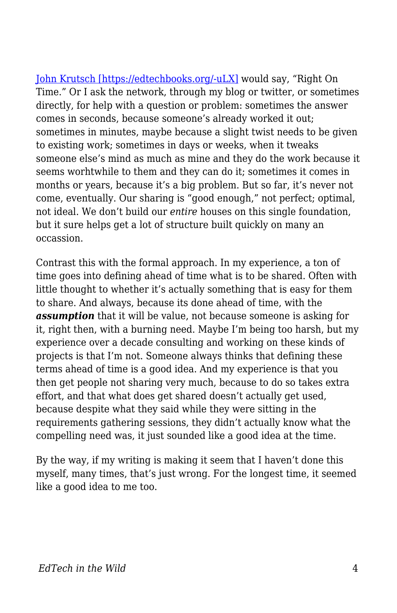[John Krutsch \[https://edtechbooks.org/-uLX\]](http://technagogy.learningfield.org/) would say, "Right On Time." Or I ask the network, through my blog or twitter, or sometimes directly, for help with a question or problem: sometimes the answer comes in seconds, because someone's already worked it out; sometimes in minutes, maybe because a slight twist needs to be given to existing work; sometimes in days or weeks, when it tweaks someone else's mind as much as mine and they do the work because it seems worhtwhile to them and they can do it; sometimes it comes in months or years, because it's a big problem. But so far, it's never not come, eventually. Our sharing is "good enough," not perfect; optimal, not ideal. We don't build our *entire* houses on this single foundation, but it sure helps get a lot of structure built quickly on many an occassion.

Contrast this with the formal approach. In my experience, a ton of time goes into defining ahead of time what is to be shared. Often with little thought to whether it's actually something that is easy for them to share. And always, because its done ahead of time, with the *assumption* that it will be value, not because someone is asking for it, right then, with a burning need. Maybe I'm being too harsh, but my experience over a decade consulting and working on these kinds of projects is that I'm not. Someone always thinks that defining these terms ahead of time is a good idea. And my experience is that you then get people not sharing very much, because to do so takes extra effort, and that what does get shared doesn't actually get used, because despite what they said while they were sitting in the requirements gathering sessions, they didn't actually know what the compelling need was, it just sounded like a good idea at the time.

By the way, if my writing is making it seem that I haven't done this myself, many times, that's just wrong. For the longest time, it seemed like a good idea to me too.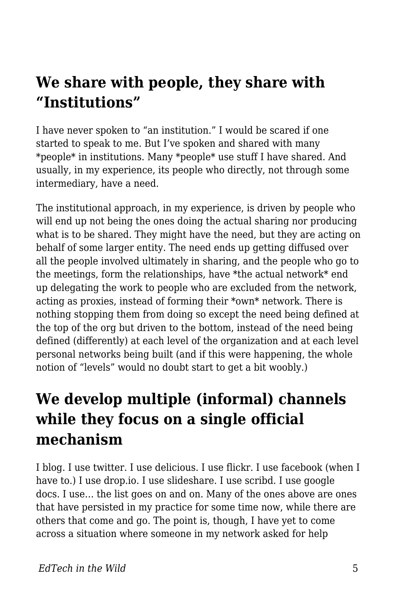### **We share with people, they share with "Institutions"**

I have never spoken to "an institution." I would be scared if one started to speak to me. But I've spoken and shared with many \*people\* in institutions. Many \*people\* use stuff I have shared. And usually, in my experience, its people who directly, not through some intermediary, have a need.

The institutional approach, in my experience, is driven by people who will end up not being the ones doing the actual sharing nor producing what is to be shared. They might have the need, but they are acting on behalf of some larger entity. The need ends up getting diffused over all the people involved ultimately in sharing, and the people who go to the meetings, form the relationships, have \*the actual network\* end up delegating the work to people who are excluded from the network, acting as proxies, instead of forming their \*own\* network. There is nothing stopping them from doing so except the need being defined at the top of the org but driven to the bottom, instead of the need being defined (differently) at each level of the organization and at each level personal networks being built (and if this were happening, the whole notion of "levels" would no doubt start to get a bit woobly.)

#### **We develop multiple (informal) channels while they focus on a single official mechanism**

I blog. I use twitter. I use delicious. I use flickr. I use facebook (when I have to.) I use drop.io. I use slideshare. I use scribd. I use google docs. I use… the list goes on and on. Many of the ones above are ones that have persisted in my practice for some time now, while there are others that come and go. The point is, though, I have yet to come across a situation where someone in my network asked for help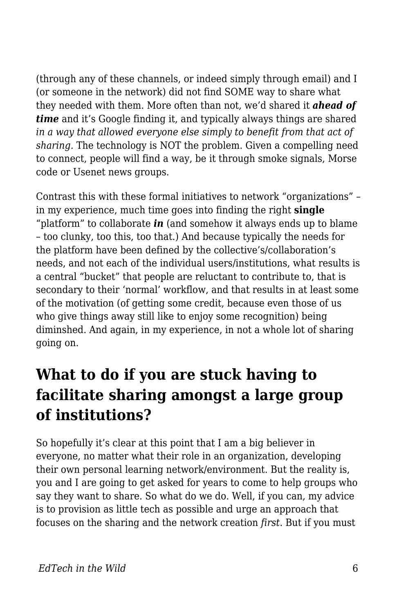(through any of these channels, or indeed simply through email) and I (or someone in the network) did not find SOME way to share what they needed with them. More often than not, we'd shared it *ahead of time* and it's Google finding it, and typically always things are shared *in a way that allowed everyone else simply to benefit from that act of sharing.* The technology is NOT the problem. Given a compelling need to connect, people will find a way, be it through smoke signals, Morse code or Usenet news groups.

Contrast this with these formal initiatives to network "organizations" – in my experience, much time goes into finding the right **single** "platform" to collaborate *in* (and somehow it always ends up to blame – too clunky, too this, too that.) And because typically the needs for the platform have been defined by the collective's/collaboration's needs, and not each of the individual users/institutions, what results is a central "bucket" that people are reluctant to contribute to, that is secondary to their 'normal' workflow, and that results in at least some of the motivation (of getting some credit, because even those of us who give things away still like to enjoy some recognition) being diminshed. And again, in my experience, in not a whole lot of sharing going on.

# **What to do if you are stuck having to facilitate sharing amongst a large group of institutions?**

So hopefully it's clear at this point that I am a big believer in everyone, no matter what their role in an organization, developing their own personal learning network/environment. But the reality is, you and I are going to get asked for years to come to help groups who say they want to share. So what do we do. Well, if you can, my advice is to provision as little tech as possible and urge an approach that focuses on the sharing and the network creation *first*. But if you must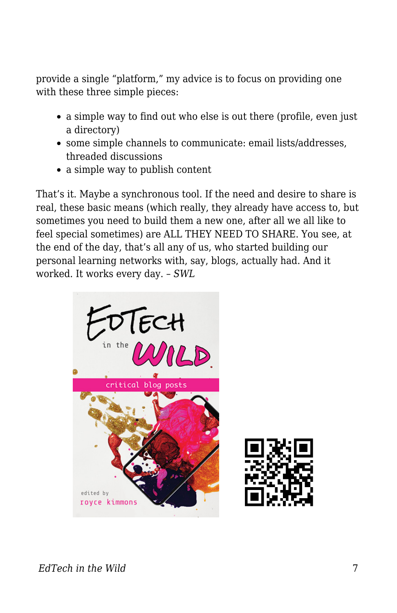provide a single "platform," my advice is to focus on providing one with these three simple pieces:

- a simple way to find out who else is out there (profile, even just a directory)
- some simple channels to communicate: email lists/addresses, threaded discussions
- a simple way to publish content

That's it. Maybe a synchronous tool. If the need and desire to share is real, these basic means (which really, they already have access to, but sometimes you need to build them a new one, after all we all like to feel special sometimes) are ALL THEY NEED TO SHARE. You see, at the end of the day, that's all any of us, who started building our personal learning networks with, say, blogs, actually had. And it worked. It works every day. – *SWL*